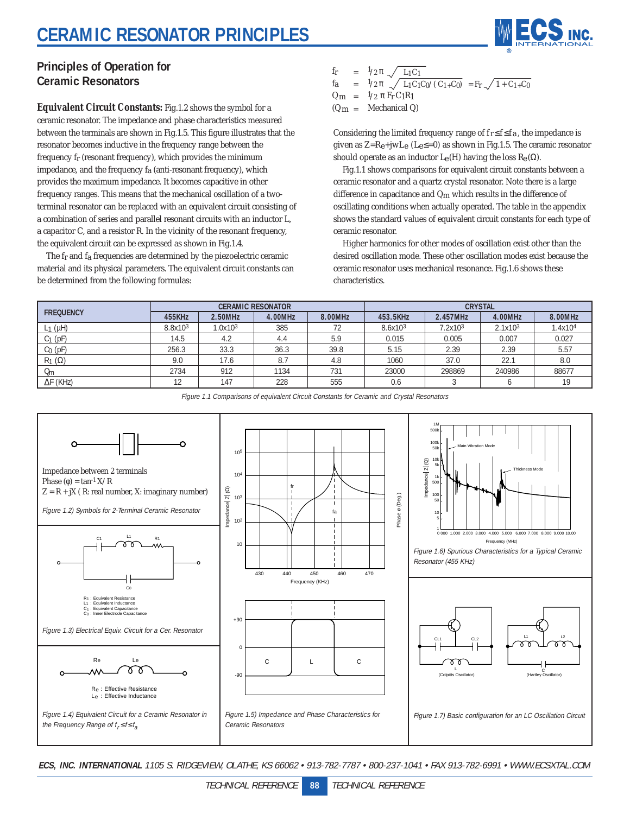## **CERAMIC RESONATOR PRINCIPLES**



### **Principles of Operation for Ceramic Resonators**

**Equivalent Circuit Constants:** Fig.1.2 shows the symbol for a ceramic resonator. The impedance and phase characteristics measured between the terminals are shown in Fig.1.5. This figure illustrates that the resonator becomes inductive in the frequency range between the frequency fr (resonant frequency), which provides the minimum impedance, and the frequency fa (anti-resonant frequency), which provides the maximum impedance. It becomes capacitive in other frequency ranges. This means that the mechanical oscillation of a twoterminal resonator can be replaced with an equivalent circuit consisting of a combination of series and parallel resonant circuits with an inductor L, a capacitor C, and a resistor R. In the vicinity of the resonant frequency, the equivalent circuit can be expressed as shown in Fig.1.4.

The fr and fa frequencies are determined by the piezoelectric ceramic material and its physical parameters. The equivalent circuit constants can be determined from the following formulas:

$$
f_{\rm R} = 1/2 \pi \sqrt{L_1 C_1}
$$
  
\n
$$
f_{\rm R} = 1/2 \pi \sqrt{L_1 C_1 C_0 / (C_1 + C_0)} = F_{\rm T} \sqrt{1 + C_1 + C_0}
$$
  
\n
$$
Q_{\rm m} = 1/2 \pi F_{\rm T} C_1 R_1
$$
  
\n
$$
(Q_{\rm m} = \text{Mechanical Q})
$$

Considering the limited frequency range of  $f_r \le f \le f_a$ , the impedance is given as  $Z=R_e+jwL_e$  (L<sub>e</sub> $\leq=0$ ) as shown in Fig.1.5. The ceramic resonator should operate as an inductor  $L_{e}(H)$  having the loss  $R_{e}(\Omega)$ .

Fig.1.1 shows comparisons for equivalent circuit constants between a ceramic resonator and a quartz crystal resonator. Note there is a large difference in capacitance and Qm which results in the difference of oscillating conditions when actually operated. The table in the appendix shows the standard values of equivalent circuit constants for each type of ceramic resonator.

Higher harmonics for other modes of oscillation exist other than the desired oscillation mode. These other oscillation modes exist because the ceramic resonator uses mechanical resonance. Fig.1.6 shows these characteristics.

| <b>FREQUENCY</b>     | <b>CERAMIC RESONATOR</b> |         |         |         | <b>CRYSTAL</b>      |          |         |                     |
|----------------------|--------------------------|---------|---------|---------|---------------------|----------|---------|---------------------|
|                      | 455KHz                   | 2.50MHz | 4.00MHz | 8.00MHz | 453.5KHz            | 2.457MHz | 4.00MHz | 8.00MHz             |
| $L_1(\mu H)$         | 8.8x10 <sup>3</sup>      | 1.0x103 | 385     | 72      | 8.6x10 <sup>3</sup> | 7.2x103  | 2.1x103 | 1.4x10 <sup>4</sup> |
| $C_1$ (pF)           | 14.5                     | 4.2     | 4.4     | 5.9     | 0.015               | 0.005    | 0.007   | 0.027               |
| $C0$ (pF)            | 256.3                    | 33.3    | 36.3    | 39.8    | 5.15                | 2.39     | 2.39    | 5.57                |
| $R_1(\Omega)$        | 9.0                      | 17.6    | 8.7     | 4.8     | 1060                | 37.0     | 22.7    | 8.0                 |
| <b>U<sub>m</sub></b> | 2734                     | 912     | 1134    | 731     | 23000               | 298869   | 240986  | 88677               |
| $\Delta F$ (KHz)     |                          | 147     | 228     | 555     | 0.6                 |          |         | 19                  |



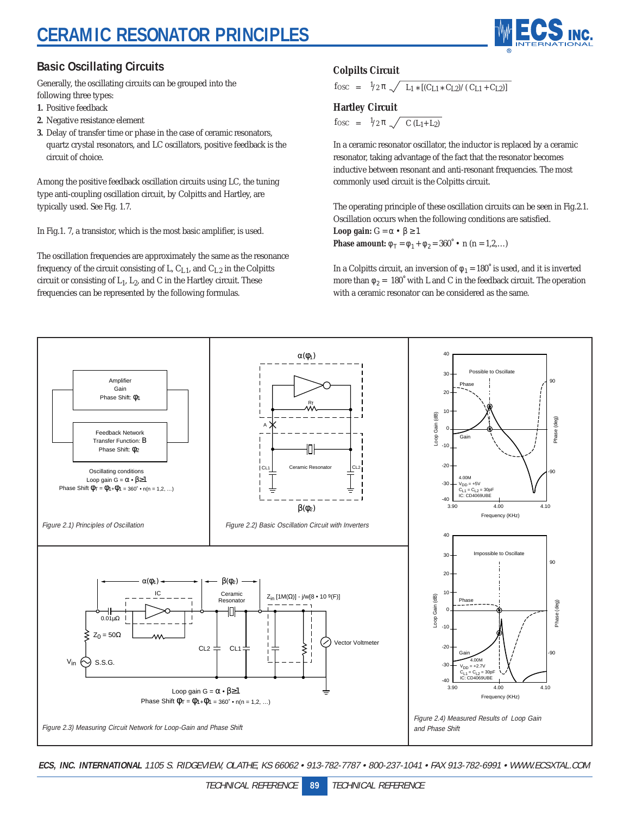# **CERAMIC RESONATOR PRINCIPLES**



### **Basic Oscillating Circuits**

Generally, the oscillating circuits can be grouped into the following three types:

- **1.** Positive feedback
- **2.** Negative resistance element
- **3.** Delay of transfer time or phase in the case of ceramic resonators, quartz crystal resonators, and LC oscillators, positive feedback is the circuit of choice.

Among the positive feedback oscillation circuits using LC, the tuning type anti-coupling oscillation circuit, by Colpitts and Hartley, are typically used. See Fig. 1.7.

In Fig.1. 7, a transistor, which is the most basic amplifier, is used.

The oscillation frequencies are approximately the same as the resonance frequency of the circuit consisting of L,  $C_{L1}$ , and  $C_{L2}$  in the Colpitts circuit or consisting of  $L_1$ ,  $L_2$ , and C in the Hartley circuit. These frequencies can be represented by the following formulas.

#### **Colpilts Circuit**

 $f_{\text{OSC}} = 1/2 \pi \sqrt{L_1 * [(C_{L1} * C_{L2})/(C_{L1} + C_{L2})]}$ 

#### **Hartley Circuit**

fosc =  $\frac{1}{2} \pi \sqrt{C (L_1 + L_2)}$ 

In a ceramic resonator oscillator, the inductor is replaced by a ceramic resonator, taking advantage of the fact that the resonator becomes inductive between resonant and anti-resonant frequencies. The most commonly used circuit is the Colpitts circuit.

The operating principle of these oscillation circuits can be seen in Fig.2.1. Oscillation occurs when the following conditions are satisfied. **Loop gain:**  $G = \alpha \cdot \beta \ge 1$ **Phase amount:**  $\phi_T = \phi_1 + \phi_2 = 360^\circ \cdot \textbf{n}$  (n = 1,2,...)

In a Colpitts circuit, an inversion of  $\phi_1 = 180^\circ$  is used, and it is inverted more than  $\phi_2$  = 180° with L and C in the feedback circuit. The operation with a ceramic resonator can be considered as the same.

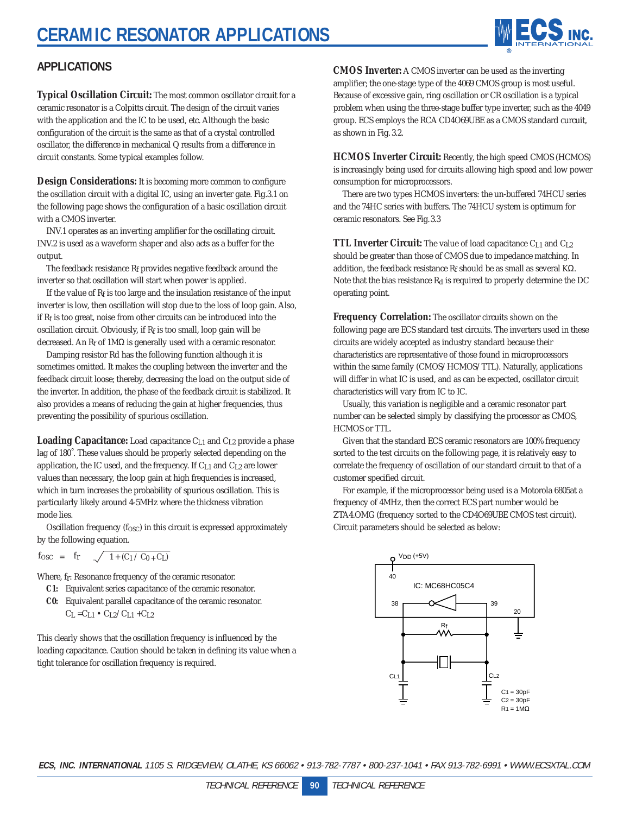

### **APPLICATIONS**

**Typical Oscillation Circuit:** The most common oscillator circuit for a ceramic resonator is a Colpitts circuit. The design of the circuit varies with the application and the IC to be used, etc. Although the basic configuration of the circuit is the same as that of a crystal controlled oscillator, the difference in mechanical Q results from a difference in circuit constants. Some typical examples follow.

**Design Considerations:** It is becoming more common to configure the oscillation circuit with a digital IC, using an inverter gate. Fig.3.1 on the following page shows the configuration of a basic oscillation circuit with a CMOS inverter.

INV.1 operates as an inverting amplifier for the oscillating circuit. INV.2 is used as a waveform shaper and also acts as a buffer for the output.

The feedback resistance Rf provides negative feedback around the inverter so that oscillation will start when power is applied.

If the value of  $R_f$  is too large and the insulation resistance of the input inverter is low, then oscillation will stop due to the loss of loop gain. Also, if Rf is too great, noise from other circuits can be introduced into the oscillation circuit. Obviously, if  $R_f$  is too small, loop gain will be decreased. An Rf of 1MΩ is generally used with a ceramic resonator.

Damping resistor Rd has the following function although it is sometimes omitted. It makes the coupling between the inverter and the feedback circuit loose; thereby, decreasing the load on the output side of the inverter. In addition, the phase of the feedback circuit is stabilized. It also provides a means of reducing the gain at higher frequencies, thus preventing the possibility of spurious oscillation.

**Loading Capacitance:** Load capacitance C<sub>L1</sub> and C<sub>L2</sub> provide a phase lag of 180˚. These values should be properly selected depending on the application, the IC used, and the frequency. If  $C_{L1}$  and  $C_{L2}$  are lower values than necessary, the loop gain at high frequencies is increased, which in turn increases the probability of spurious oscillation. This is particularly likely around 4-5MHz where the thickness vibration mode lies.

Oscillation frequency  $(f<sub>OSC</sub>)$  in this circuit is expressed approximately by the following equation.

$$
f_{OSC}~=~f_{r}~~\sqrt{-1+(C_1 \mathbin{/} C_0 + C_L)}
$$

Where, fr: Resonance frequency of the ceramic resonator.

- **C1:** Equivalent series capacitance of the ceramic resonator.
- **C0:** Equivalent parallel capacitance of the ceramic resonator.  $C_L = C_{L1} \cdot C_{L2}/C_{L1} + C_{L2}$

This clearly shows that the oscillation frequency is influenced by the loading capacitance. Caution should be taken in defining its value when a tight tolerance for oscillation frequency is required.

**CMOS Inverter:** A CMOS inverter can be used as the inverting amplifier; the one-stage type of the 4069 CMOS group is most useful. Because of excessive gain, ring oscillation or CR oscillation is a typical problem when using the three-stage buffer type inverter, such as the 4049 group. ECS employs the RCA CD4O69UBE as a CMOS standard curcuit, as shown in Fig. 3.2.

**HCMOS Inverter Circuit:** Recently, the high speed CMOS (HCMOS) is increasingly being used for circuits allowing high speed and low power consumption for microprocessors.

There are two types HCMOS inverters: the un-buffered 74HCU series and the 74HC series with buffers. The 74HCU system is optimum for ceramic resonators. See Fig.3.3

**TTL Inverter Circuit:** The value of load capacitance C<sub>L1</sub> and C<sub>L2</sub> should be greater than those of CMOS due to impedance matching. In addition, the feedback resistance  $R_f$  should be as small as several K $\Omega$ . Note that the bias resistance  $R_d$  is required to properly determine the DC operating point.

**Frequency Correlation:** The oscillator circuits shown on the following page are ECS standard test circuits. The inverters used in these circuits are widely accepted as industry standard because their characteristics are representative of those found in microprocessors within the same family (CMOS/HCMOS/TTL). Naturally, applications will differ in what IC is used, and as can be expected, oscillator circuit characteristics will vary from IC to IC.

Usually, this variation is negligible and a ceramic resonator part number can be selected simply by classifying the processor as CMOS, HCMOS or TTL.

Given that the standard ECS ceramic resonators are 100% frequency sorted to the test circuits on the following page, it is relatively easy to correlate the frequency of oscillation of our standard circuit to that of a customer specified circuit.

For example, if the microprocessor being used is a Motorola 6805at a frequency of 4MHz, then the correct ECS part number would be ZTA4.OMG (frequency sorted to the CD4O69UBE CMOS test circuit). Circuit parameters should be selected as below:

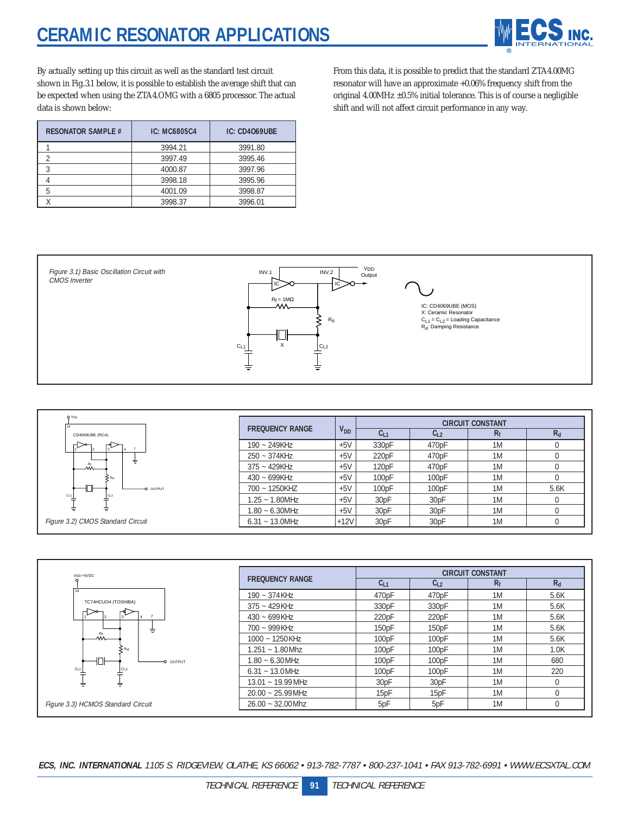

By actually setting up this circuit as well as the standard test circuit shown in Fig.3.1 below, it is possible to establish the average shift that can be expected when using the ZTA4.OMG with a 6805 processor. The actual data is shown below:

From this data, it is possible to predict that the standard ZTA4.00MG resonator will have an approximate +0.06% frequency shift from the original 4.00MHz ±0.5% initial tolerance. This is of course a negligible shift and will not affect circuit performance in any way.

| <b>RESONATOR SAMPLE #</b> | IC: MC6805C4 | <b>IC: CD4069UBE</b> |
|---------------------------|--------------|----------------------|
|                           | 3994.21      | 3991.80              |
|                           | 3997.49      | 3995.46              |
|                           | 4000.87      | 3997.96              |
|                           | 3998.18      | 3995.96              |
|                           | 4001.09      | 3998.87              |
|                           | 3998.37      | 3996.01              |





| <b>FREQUENCY RANGE</b> |          | <b>CIRCUIT CONSTANT</b> |          |       |       |  |
|------------------------|----------|-------------------------|----------|-------|-------|--|
|                        | $V_{DD}$ | $C_{L1}$                | $C_{L2}$ | $R_f$ | $R_d$ |  |
| $190 - 249K$ Hz        | $+5V$    | 330pF                   | 470pF    | 1M    |       |  |
| $250 - 374K$ Hz        | $+5V$    | 220pF                   | 470pF    | 1M    |       |  |
| $375 - 429KHz$         | $+5V$    | 120pF                   | 470pF    | 1M    |       |  |
| $430 - 699KHz$         | $+5V$    | 100pF                   | 100pF    | 1M    |       |  |
| 700 ~ 1250KHZ          | $+5V$    | 100pF                   | 100pF    | 1M    | 5.6K  |  |
| $1.25 - 1.80$ MHz      | $+5V$    | 30pF                    | 30pF     | 1M    |       |  |
| $1.80 - 6.30$ MHz      | $+5V$    | 30pF                    | 30pF     | 1M    |       |  |
| $6.31 - 13.0$ MHz      | $+12V$   | 30pF                    | 30pF     | 1M    |       |  |

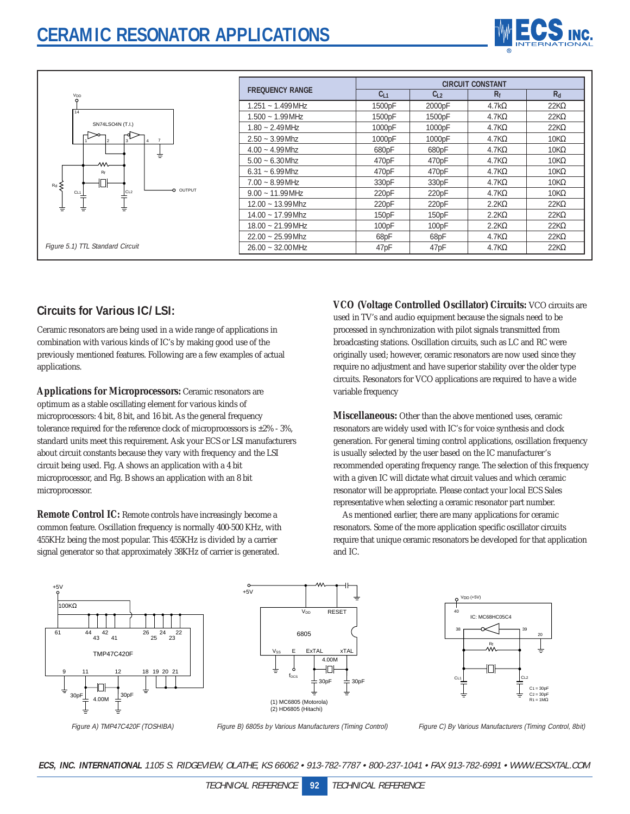

|                        | <b>CIRCUIT CONSTANT</b> |          |               |             |  |  |
|------------------------|-------------------------|----------|---------------|-------------|--|--|
| <b>FREQUENCY RANGE</b> | $C_{L1}$                | $C_{L2}$ | $R_{f}$       | $R_d$       |  |  |
| $1.251 - 1.499$ MHz    | 1500pF                  | 2000pF   | 4.7k $\Omega$ | $22K\Omega$ |  |  |
| $1.500 - 1.99$ MHz     | 1500pF                  | 1500pF   | $4.7K\Omega$  | $22K\Omega$ |  |  |
| $1.80 - 2.49$ MHz      | 1000pF                  | 1000pF   | $4.7K\Omega$  | $22K\Omega$ |  |  |
| $2.50 - 3.99$ Mhz      | 1000pF                  | 1000pF   | $4.7K\Omega$  | $10K\Omega$ |  |  |
| $4.00 - 4.99$ Mhz      | 680pF                   | 680pF    | $4.7K\Omega$  | $10K\Omega$ |  |  |
| $5.00 - 6.30$ Mhz      | 470pF                   | 470pF    | $4.7K\Omega$  | $10K\Omega$ |  |  |
| $6.31 - 6.99$ Mhz      | 470pF                   | 470pF    | $4.7K\Omega$  | $10K\Omega$ |  |  |
| $7.00 - 8.99$ MHz      | 330pF                   | 330pF    | $4.7K\Omega$  | $10K\Omega$ |  |  |
| $9.00 - 11.99$ MHz     | 220pF                   | 220pF    | $4.7K\Omega$  | $10K\Omega$ |  |  |
| $12.00 - 13.99$ Mhz    | 220pF                   | 220pF    | $2.2K\Omega$  | $22K\Omega$ |  |  |
| $14.00 - 17.99$ Mhz    | 150pF                   | 150pF    | $2.2K\Omega$  | $22K\Omega$ |  |  |
| $18.00 - 21.99$ MHz    | 100pF                   | 100pF    | $2.2K\Omega$  | $22K\Omega$ |  |  |
| $22.00 - 25.99$ Mhz    | 68pF                    | 68pF     | $4.7K\Omega$  | $22K\Omega$ |  |  |
| $26.00 - 32.00$ MHz    | 47pF                    | 47pF     | $4.7K\Omega$  | $22K\Omega$ |  |  |

### **Circuits for Various IC/ LSI:**

Ceramic resonators are being used in a wide range of applications in combination with various kinds of IC's by making good use of the previously mentioned features. Following are a few examples of actual applications.

**Applications for Microprocessors:** Ceramic resonators are optimum as a stable oscillating element for various kinds of microprocessors: 4 bit, 8 bit, and 16 bit. As the general frequency tolerance required for the reference clock of microprocessors is  $\pm 2\%$  - 3%, standard units meet this requirement. Ask your ECS or LSI manufacturers about circuit constants because they vary with frequency and the LSI circuit being used. Fig. A shows an application with a 4 bit microprocessor, and Fig. B shows an application with an 8 bit microprocessor.

**Remote Control IC:** Remote controls have increasingly become a common feature. Oscillation frequency is normally 400-500 KHz, with 455KHz being the most popular. This 455KHz is divided by a carrier signal generator so that approximately 38KHz of carrier is generated.

**VCO (Voltage Controlled Oscillator) Circuits:** VCO circuits are used in TV's and audio equipment because the signals need to be processed in synchronization with pilot signals transmitted from broadcasting stations. Oscillation circuits, such as LC and RC were originally used; however, ceramic resonators are now used since they require no adjustment and have superior stability over the older type circuits. Resonators for VCO applications are required to have a wide variable frequency

**Miscellaneous:** Other than the above mentioned uses, ceramic resonators are widely used with IC's for voice synthesis and clock generation. For general timing control applications, oscillation frequency is usually selected by the user based on the IC manufacturer's recommended operating frequency range. The selection of this frequency with a given IC will dictate what circuit values and which ceramic resonator will be appropriate. Please contact your local ECS Sales representative when selecting a ceramic resonator part number.

As mentioned earlier, there are many applications for ceramic resonators. Some of the more application specific oscillator circuits require that unique ceramic resonators be developed for that application and IC.







Figure A) TMP47C420F (TOSHIBA)

Figure B) 6805s by Various Manufacturers (Timing Control)

Figure C) By Various Manufacturers (Timing Control, 8bit)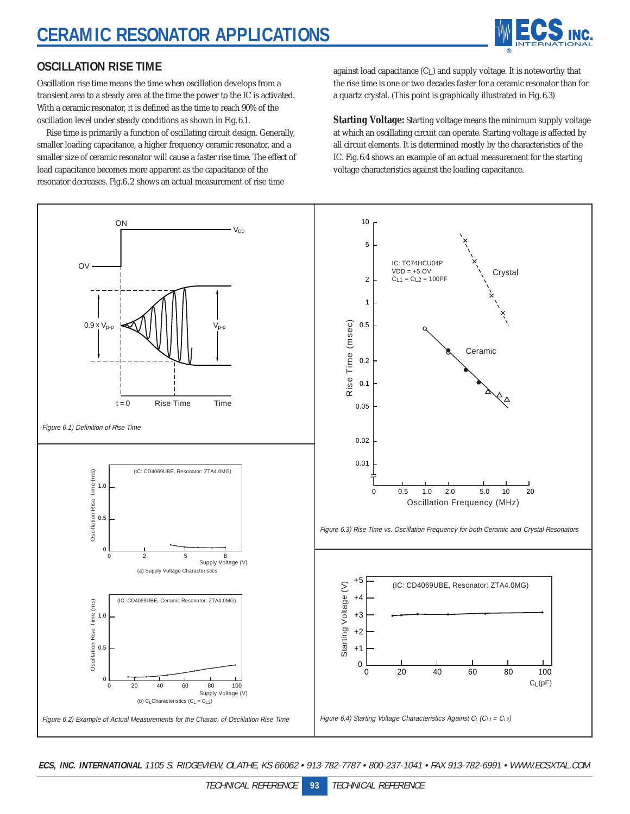

### **OSCILLATION RISE TIME**

Oscillation rise time means the time when oscillation develops from a transient area to a steady area at the time the power to the IC is activated. With a ceramic resonator, it is defined as the time to reach 90% of the oscillation level under steady conditions as shown in Fig.6.1.

Rise time is primarily a function of oscillating circuit design. Generally, smaller loading capacitance, a higher frequency ceramic resonator, and a smaller size of ceramic resonator will cause a faster rise time. The effect of load capacitance becomes more apparent as the capacitance of the resonator decreases. Fig.6.2 shows an actual measurement of rise time

against load capacitance  $(C<sub>L</sub>)$  and supply voltage. It is noteworthy that the rise time is one or two decades faster for a ceramic resonator than for a quartz crystal. (This point is graphically illustrated in Fig. 6.3)

**Starting Voltage:** Starting voltage means the minimum supply voltage at which an oscillating circuit can operate. Starting voltage is affected by all circuit elements. It is determined mostly by the characteristics of the IC. Fig.6.4 shows an example of an actual measurement for the starting voltage characteristics against the loading capacitance.